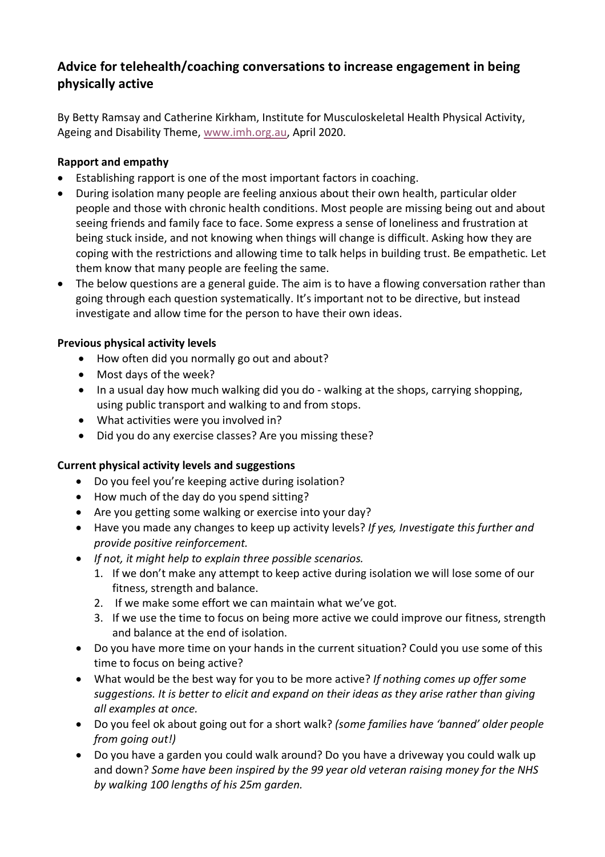# **Advice for telehealth/coaching conversations to increase engagement in being physically active**

By Betty Ramsay and Catherine Kirkham, Institute for Musculoskeletal Health Physical Activity, Ageing and Disability Theme, www.imh.org.au, April 2020.

### **Rapport and empathy**

- Establishing rapport is one of the most important factors in coaching.
- During isolation many people are feeling anxious about their own health, particular older people and those with chronic health conditions. Most people are missing being out and about seeing friends and family face to face. Some express a sense of loneliness and frustration at being stuck inside, and not knowing when things will change is difficult. Asking how they are coping with the restrictions and allowing time to talk helps in building trust. Be empathetic. Let them know that many people are feeling the same.
- The below questions are a general guide. The aim is to have a flowing conversation rather than going through each question systematically. It's important not to be directive, but instead investigate and allow time for the person to have their own ideas.

### **Previous physical activity levels**

- How often did you normally go out and about?
- Most days of the week?
- In a usual day how much walking did you do walking at the shops, carrying shopping, using public transport and walking to and from stops.
- What activities were you involved in?
- Did you do any exercise classes? Are you missing these?

# **Current physical activity levels and suggestions**

- Do you feel you're keeping active during isolation?
- How much of the day do you spend sitting?
- Are you getting some walking or exercise into your day?
- Have you made any changes to keep up activity levels? *If yes, Investigate this further and provide positive reinforcement.*
- *If not, it might help to explain three possible scenarios.*
	- 1. If we don't make any attempt to keep active during isolation we will lose some of our fitness, strength and balance.
	- 2. If we make some effort we can maintain what we've got.
	- 3. If we use the time to focus on being more active we could improve our fitness, strength and balance at the end of isolation.
- Do you have more time on your hands in the current situation? Could you use some of this time to focus on being active?
- What would be the best way for you to be more active? *If nothing comes up offer some suggestions. It is better to elicit and expand on their ideas as they arise rather than giving all examples at once.*
- Do you feel ok about going out for a short walk? *(some families have 'banned' older people from going out!)*
- Do you have a garden you could walk around? Do you have a driveway you could walk up and down? *Some have been inspired by the 99 year old veteran raising money for the NHS by walking 100 lengths of his 25m garden.*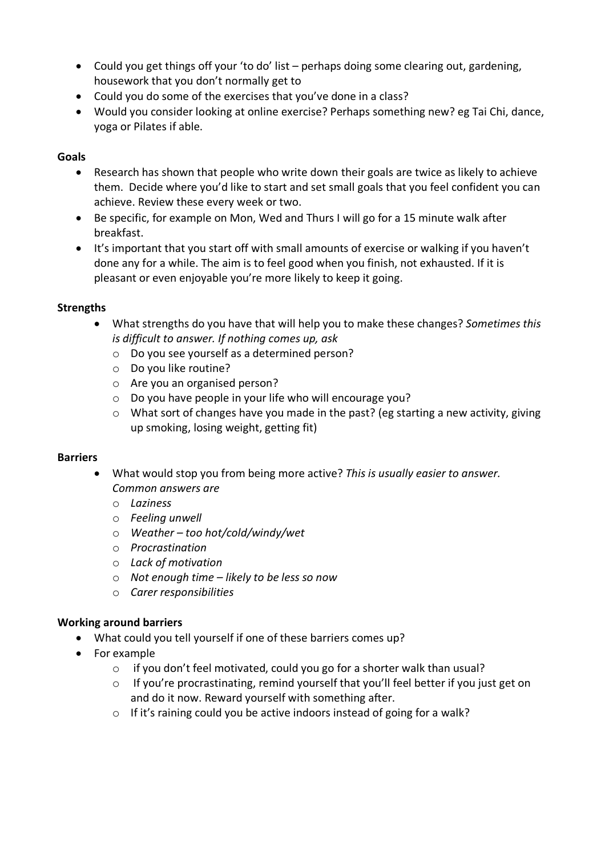- Could you get things off your 'to do' list perhaps doing some clearing out, gardening, housework that you don't normally get to
- Could you do some of the exercises that you've done in a class?
- Would you consider looking at online exercise? Perhaps something new? eg Tai Chi, dance, yoga or Pilates if able.

### **Goals**

- Research has shown that people who write down their goals are twice as likely to achieve them. Decide where you'd like to start and set small goals that you feel confident you can achieve. Review these every week or two.
- Be specific, for example on Mon, Wed and Thurs I will go for a 15 minute walk after breakfast.
- It's important that you start off with small amounts of exercise or walking if you haven't done any for a while. The aim is to feel good when you finish, not exhausted. If it is pleasant or even enjoyable you're more likely to keep it going.

### **Strengths**

- What strengths do you have that will help you to make these changes? *Sometimes this is difficult to answer. If nothing comes up, ask*
	- o Do you see yourself as a determined person?
	- o Do you like routine?
	- o Are you an organised person?
	- o Do you have people in your life who will encourage you?
	- $\circ$  What sort of changes have you made in the past? (eg starting a new activity, giving up smoking, losing weight, getting fit)

### **Barriers**

- What would stop you from being more active? *This is usually easier to answer. Common answers are*
	- o *Laziness*
	- o *Feeling unwell*
	- o *Weather – too hot/cold/windy/wet*
	- o *Procrastination*
	- o *Lack of motivation*
	- o *Not enough time – likely to be less so now*
	- o *Carer responsibilities*

# **Working around barriers**

- What could you tell yourself if one of these barriers comes up?
- For example
	- o if you don't feel motivated, could you go for a shorter walk than usual?
	- o If you're procrastinating, remind yourself that you'll feel better if you just get on and do it now. Reward yourself with something after.
	- o If it's raining could you be active indoors instead of going for a walk?